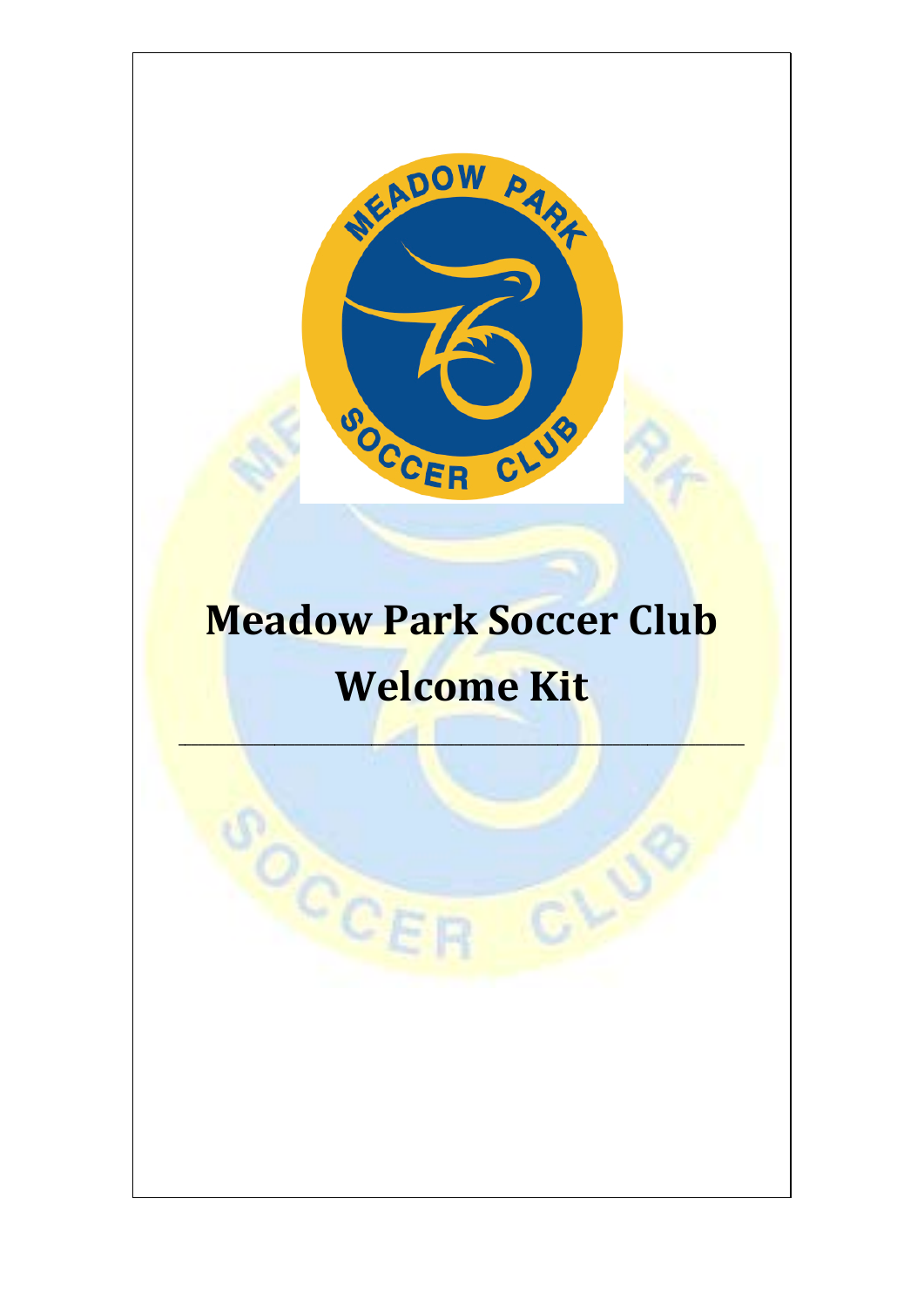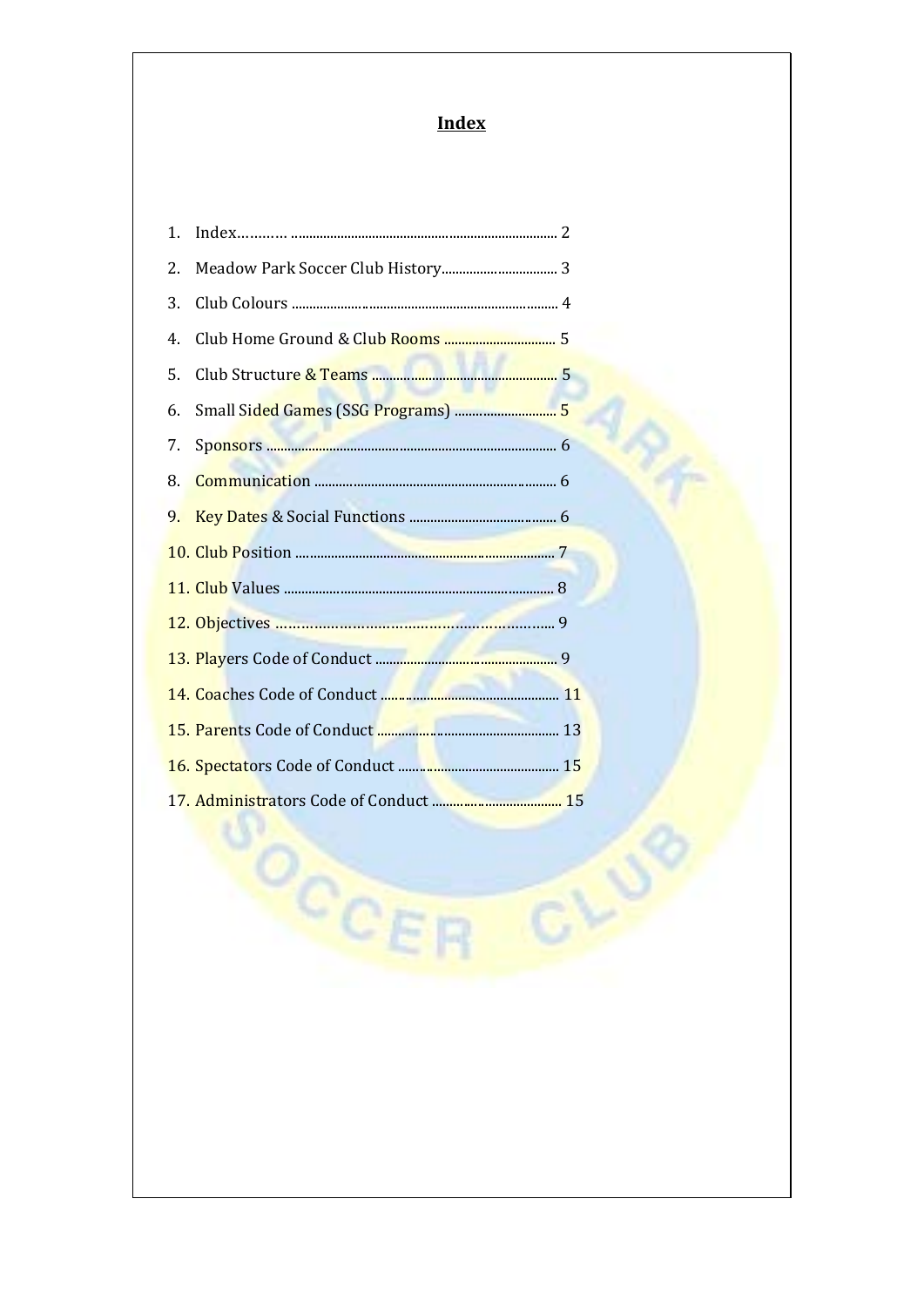# **Index**

| 1. |                                                |  |
|----|------------------------------------------------|--|
| 2. |                                                |  |
| 3. |                                                |  |
| 4. | Club Home Ground & Cl <mark>ub Rooms </mark> 5 |  |
| 5. |                                                |  |
| 6. |                                                |  |
| 7. |                                                |  |
| 8. |                                                |  |
| 9. |                                                |  |
|    |                                                |  |
|    |                                                |  |
|    |                                                |  |
|    |                                                |  |
|    |                                                |  |
|    |                                                |  |
|    |                                                |  |
|    |                                                |  |

OCCE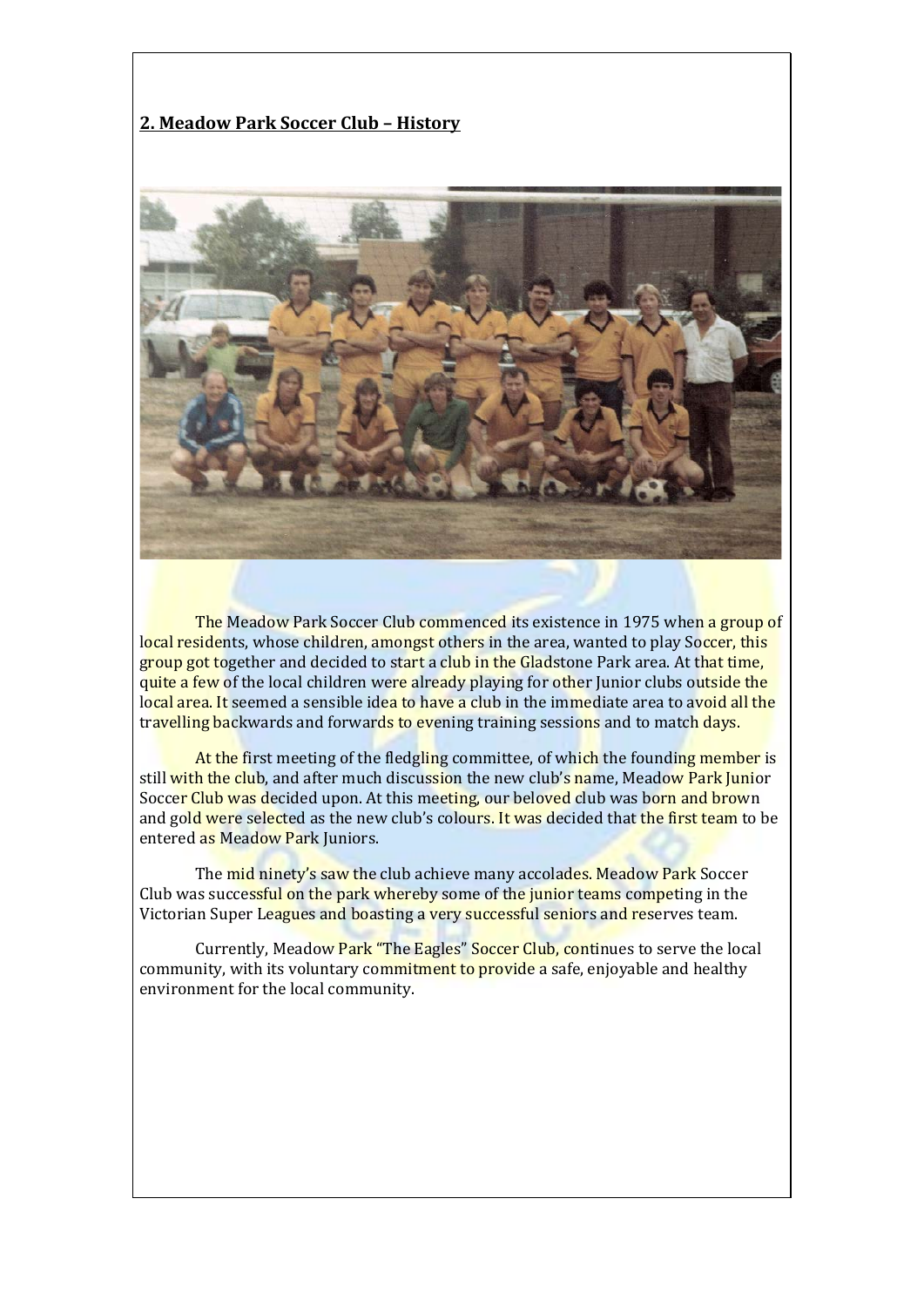#### **2. Meadow Park Soccer Club – History**



The Meadow Park Soccer Club commenced its existence in 1975 when a group of local residents, whose children, amongst others in the area, wanted to play Soccer, this group got together and decided to start a club in the Gladstone Park area. At that time, quite a few of the local children were already playing for other Junior clubs outside the local area. It seemed a sensible idea to have a club in the immediate area to avoid all the travelling backwards and forwards to evening training sessions and to match days.

At the first meeting of the fledgling committee, of which the founding member is still with the club, and after much discussion the new club's name, Meadow Park Junior Soccer Club was decided upon. At this meeting, our beloved club was born and brown and gold were selected as the new club's colours. It was decided that the first team to be entered as Meadow Park Juniors.

The mid ninety's saw the club achieve many accolades. Meadow Park Soccer Club was successful on the park whereby some of the junior teams competing in the Victorian Super Leagues and boasting a very successful seniors and reserves team.

Currently, Meadow Park "The Eagles" Soccer Club, continues to serve the local community, with its voluntary commitment to provide a safe, enjoyable and healthy environment for the local community.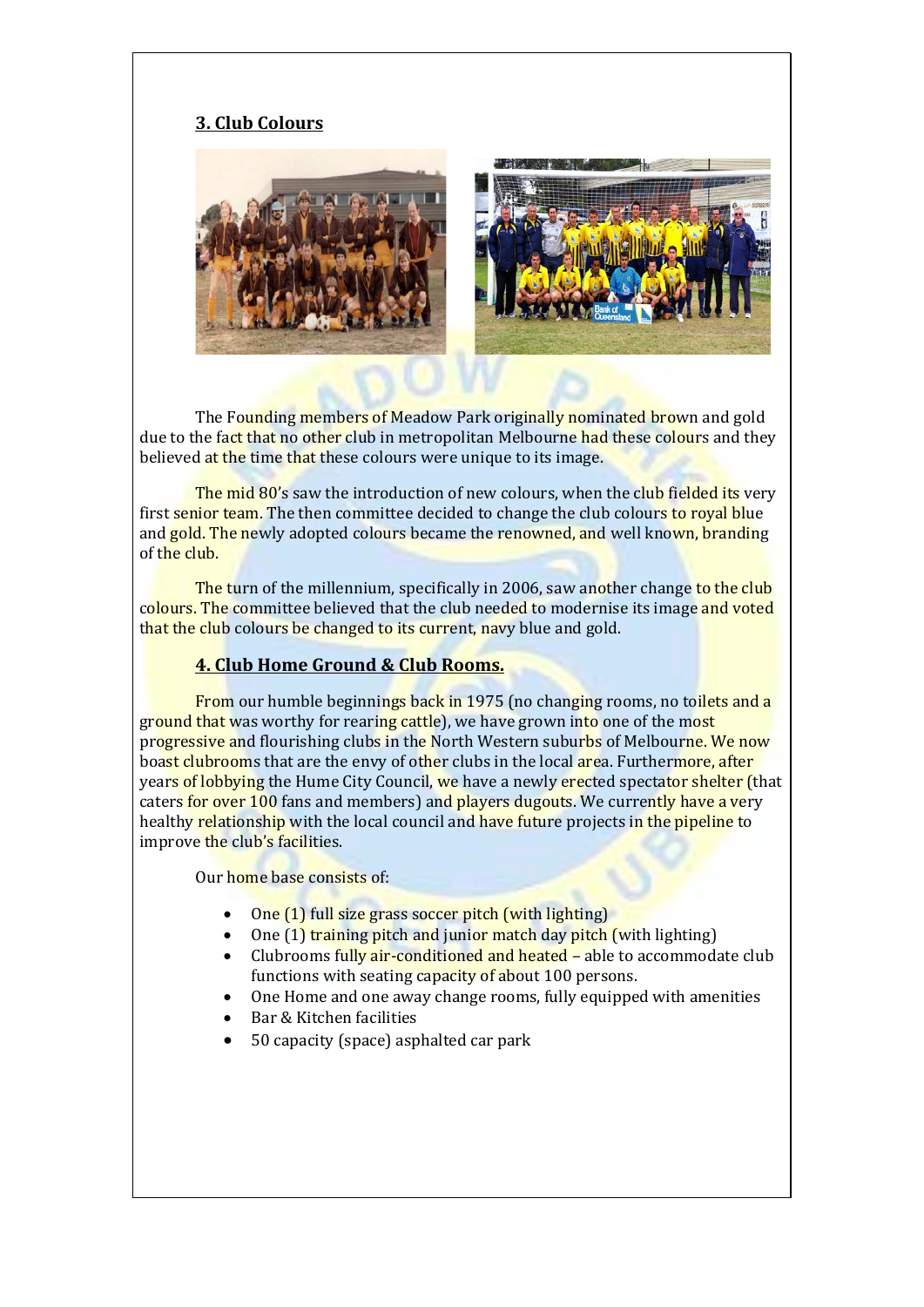## **3. Club Colours**



The Founding members of Meadow Park originally nominated brown and gold due to the fact that no other club in metropolitan Melbourne had these colours and they believed at the time that these colours were unique to its image.

The mid 80's saw the introduction of new colours, when the club fielded its very first senior team. The then committee decided to change the club colours to royal blue and gold. The newly adopted colours became the renowned, and well known, branding of the club.

The turn of the millennium, specifically in 2006, saw another change to the club colours. The committee believed that the club needed to modernise its image and voted that the club colours be changed to its current, navy blue and gold.

#### **4. Club Home Ground & Club Rooms.**

From our humble beginnings back in 1975 (no changing rooms, no toilets and a ground that was worthy for rearing cattle), we have grown into one of the most progressive and flourishing clubs in the North Western suburbs of Melbourne. We now boast clubrooms that are the envy of other clubs in the local area. Furthermore, after years of lobbying the Hume City Council, we have a newly erected spectator shelter (that caters for over 100 fans and members) and players dugouts. We currently have a very healthy relationship with the local council and have future projects in the pipeline to improve the club's facilities.

Our home base consists of:

- One (1) full size grass soccer pitch (with lighting)
- One (1) training pitch and junior match day pitch (with lighting)
- Clubrooms fully air-conditioned and heated able to accommodate club functions with seating capacity of about 100 persons.
- One Home and one away change rooms, fully equipped with amenities
- Bar & Kitchen facilities
- 50 capacity (space) asphalted car park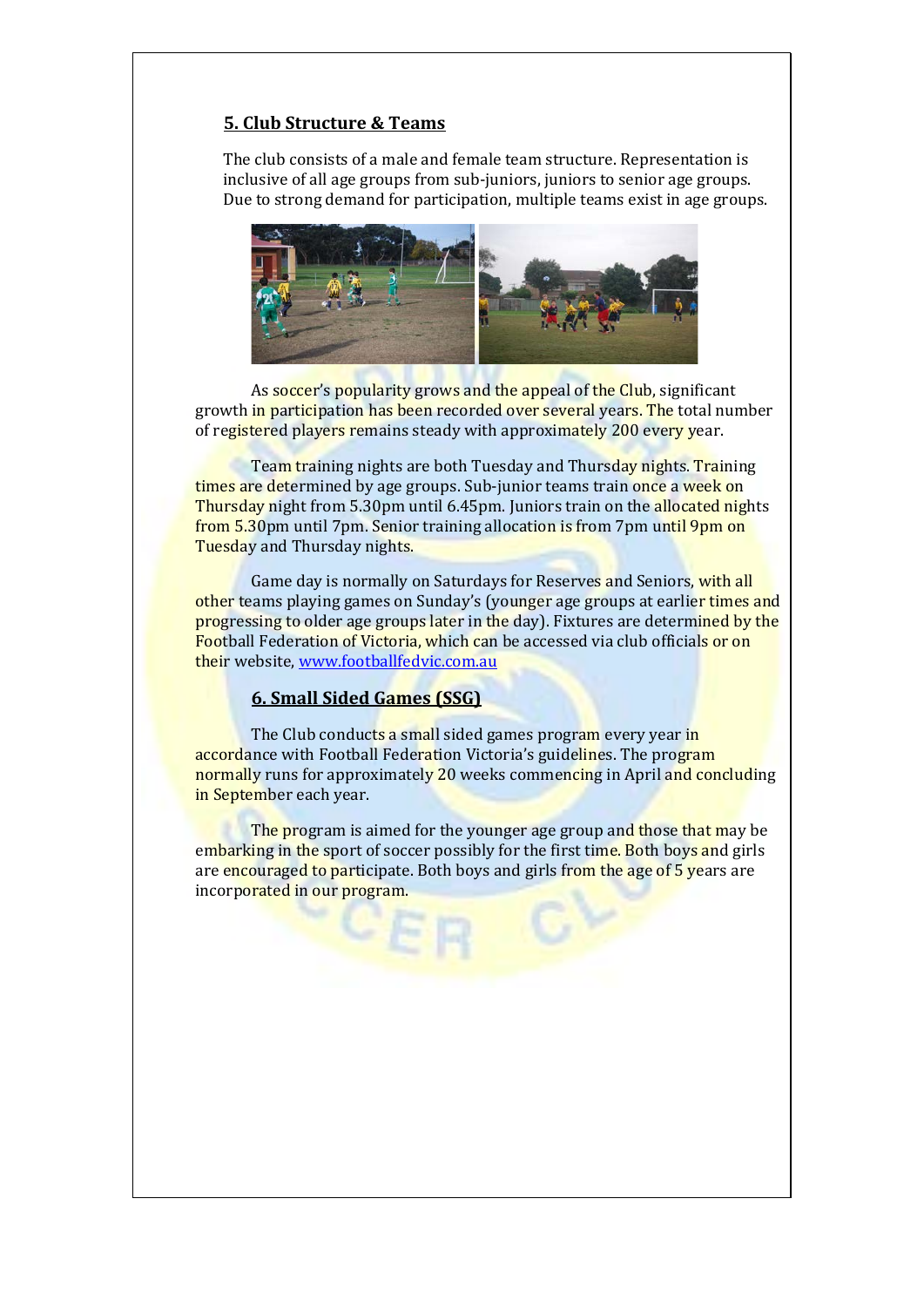#### **5. Club Structure & Teams**

The club consists of a male and female team structure. Representation is inclusive of all age groups from sub-juniors, juniors to senior age groups. Due to strong demand for participation, multiple teams exist in age groups.



As soccer's popularity grows and the appeal of the Club, significant growth in participation has been recorded over several years. The total number of registered players remains steady with approximately 200 every year.

Team training nights are both Tuesday and Thursday nights. Training times are determined by age groups. Sub-junior teams train once a week on Thursday night from 5.30pm until 6.45pm. Juniors train on the allocated nights from 5.30pm until 7pm. Senior training allocation is from 7pm until 9pm on Tuesday and Thursday nights.

Game day is normally on Saturdays for Reserves and Seniors, with all other teams playing games on Sunday's (younger age groups at earlier times and progressing to older age groups later in the day). Fixtures are determined by the Football Federation of Victoria, which can be accessed via club officials or on their website[, www.footballfedvic.com.au](http://www.footballfedvic.com.au/)

#### **6. Small Sided Games (SSG)**

The Club conducts a small sided games program every year in accordance with Football Federation Victoria's guidelines. The program normally runs for approximately 20 weeks commencing in April and concluding in September each year.

The program is aimed for the younger age group and those that may be embarking in the sport of soccer possibly for the first time. Both boys and girls are encouraged to participate. Both boys and girls from the age of 5 years are incorporated in our program.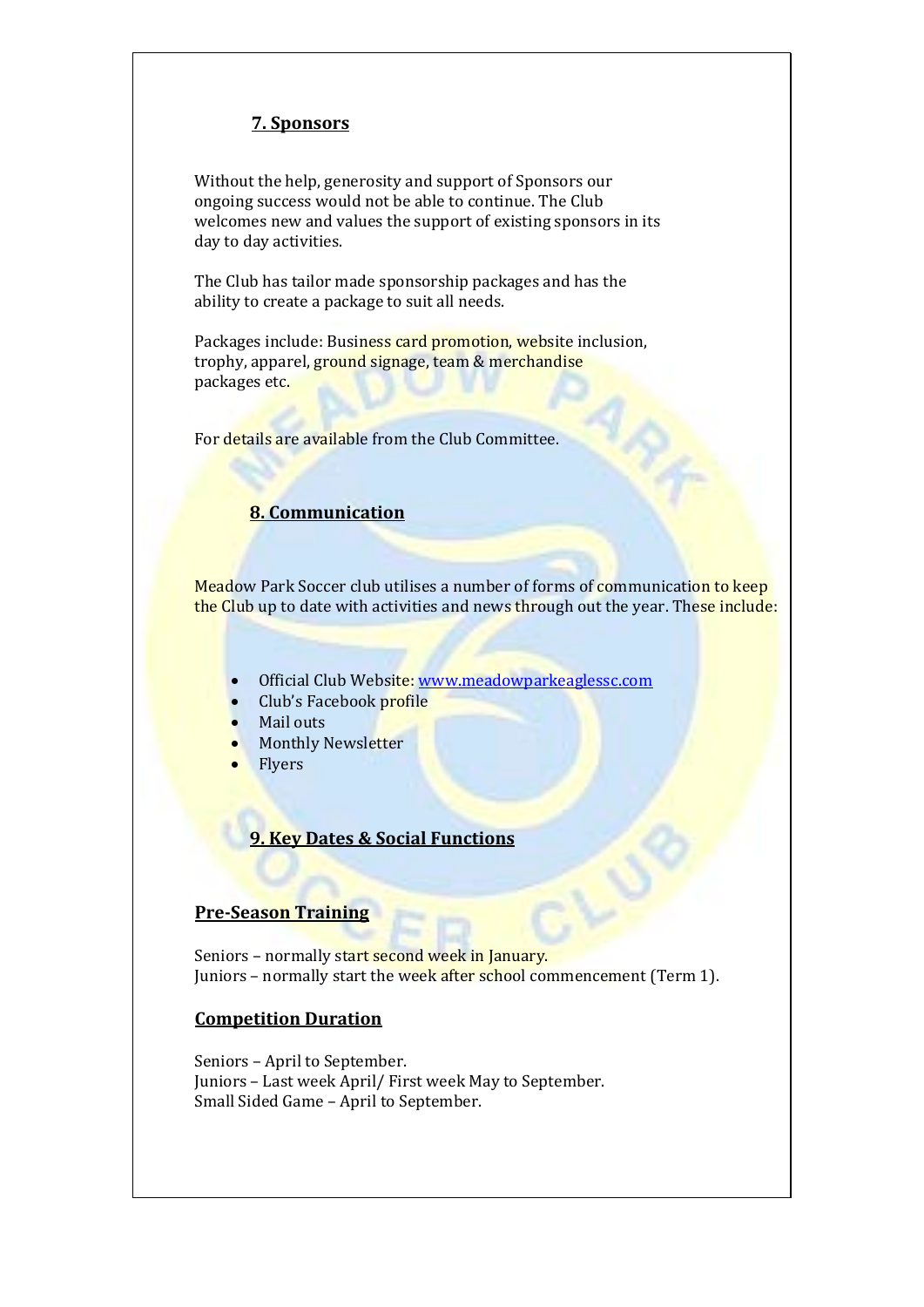# **7. Sponsors**

Without the help, generosity and support of Sponsors our ongoing success would not be able to continue. The Club welcomes new and values the support of existing sponsors in its day to day activities.

The Club has tailor made sponsorship packages and has the ability to create a package to suit all needs.

Packages include: Business card promotion, website inclusion, trophy, apparel, ground signage, team & merchandise packages etc.

For details are available from the Club Committee.

#### **8. Communication**

Meadow Park Soccer club utilises a number of forms of communication to keep the Club up to date with activities and news through out the year. These include:

- Official Club Website: [www.meadowparkeaglessc.com](http://www.meadowparkeaglessc.com/)
- Club's Facebook profile
- Mail outs
- **Monthly Newsletter**
- Flyers

# **9. Key Dates & Social Functions**

### **Pre-Season Training**

Seniors - normally start second week in January. Juniors - normally start the week after school commencement (Term 1).

#### **Competition Duration**

Seniors – April to September. Juniors – Last week April/ First week May to September. Small Sided Game – April to September.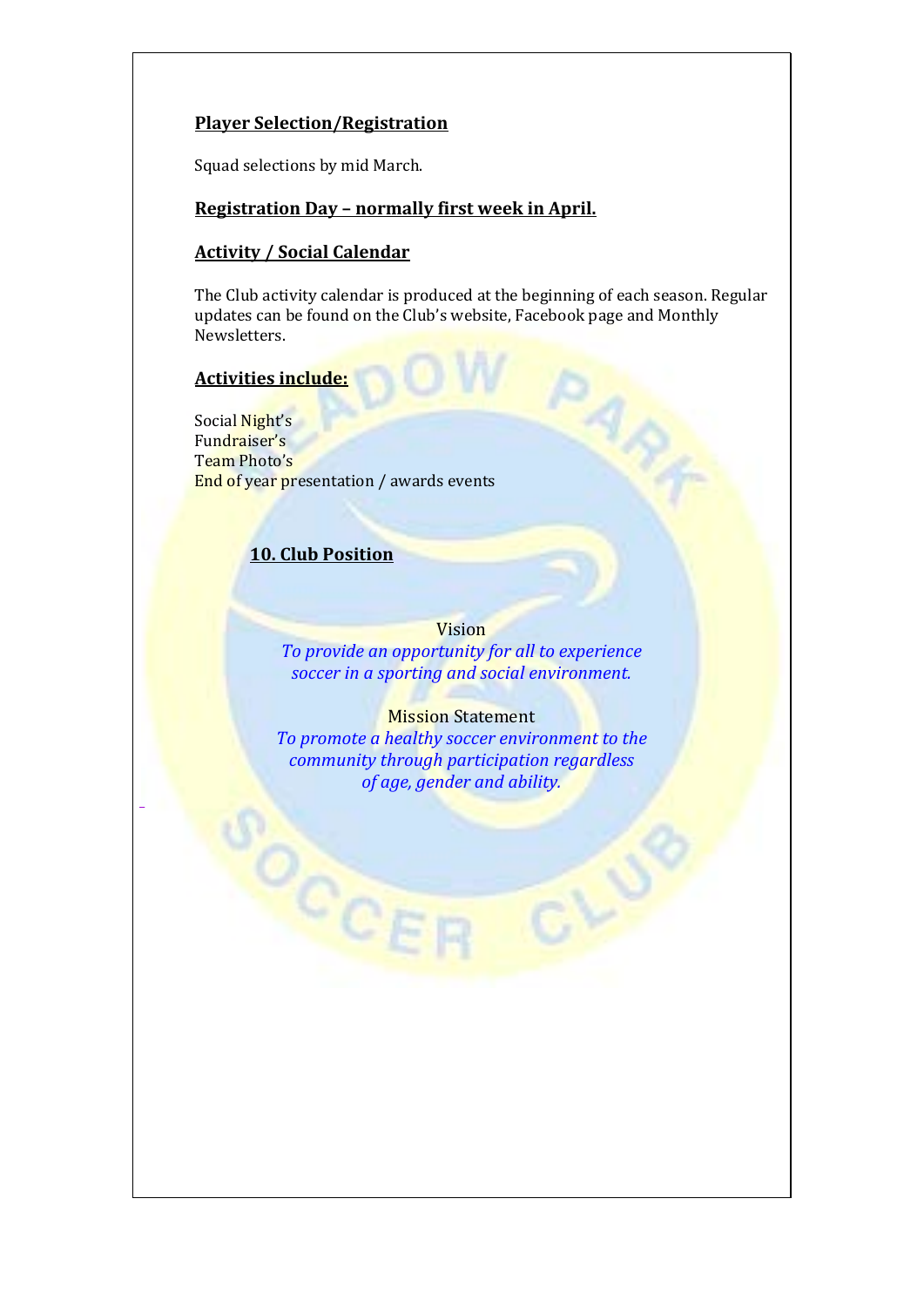## **Player Selection/Registration**

Squad selections by mid March.

#### **Registration Day – normally first week in April.**

## **Activity / Social Calendar**

The Club activity calendar is produced at the beginning of each season. Regular updates can be found on the Club's website, Facebook page and Monthly Newsletters.

4,

## **Activities include:**

\_

Social Night's Fundraiser's Team Photo's End of year presentation / awards events

## **10. Club Position**

OCCE

## Vision

*To provide an opportunity for all to experience soccer in a sporting and social environment.*

#### **Mission Statement**

*To promote a healthy soccer environment to the community through participation regardless of age, gender and ability.*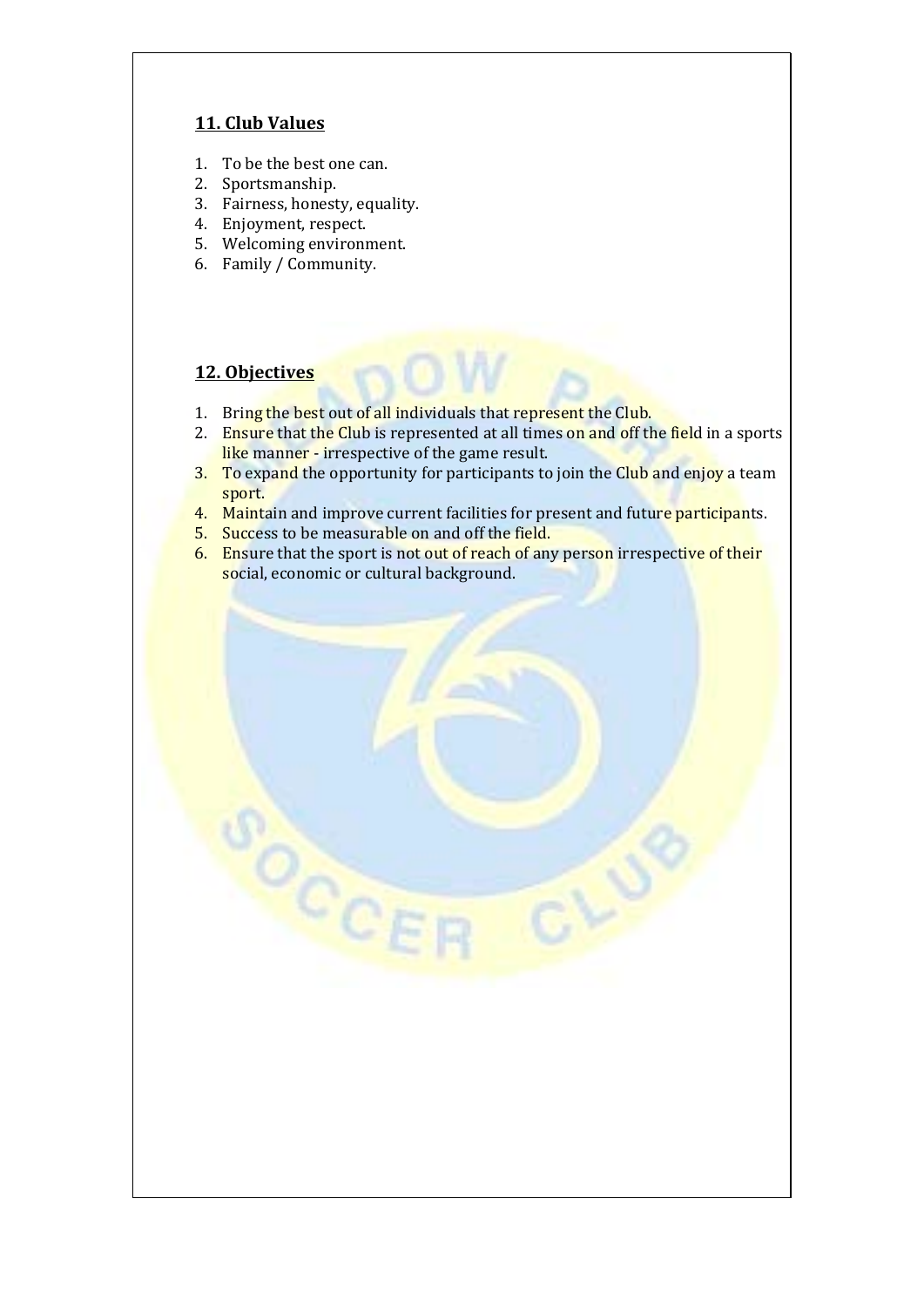## **11. Club Values**

- 1. To be the best one can.
- 2. Sportsmanship.
- 3. Fairness, honesty, equality.
- 4. Enjoyment, respect.
- 5. Welcoming environment.
- 6. Family / Community.

#### **12. Objectives**

- 1. Bring the best out of all individuals that represent the Club.
- 2. Ensure that the Club is represented at all times on and off the field in a sports like manner - irrespective of the game result.
- 3. To expand the opportunity for participants to join the Club and enjoy a team sport.
- 4. Maintain and improve current facilities for present and future participants.
- 5. Success to be measurable on and off the field.

 $\circ_{c_{\ell}}$ 

6. Ensure that the sport is not out of reach of any person irrespective of their social, economic or cultural background.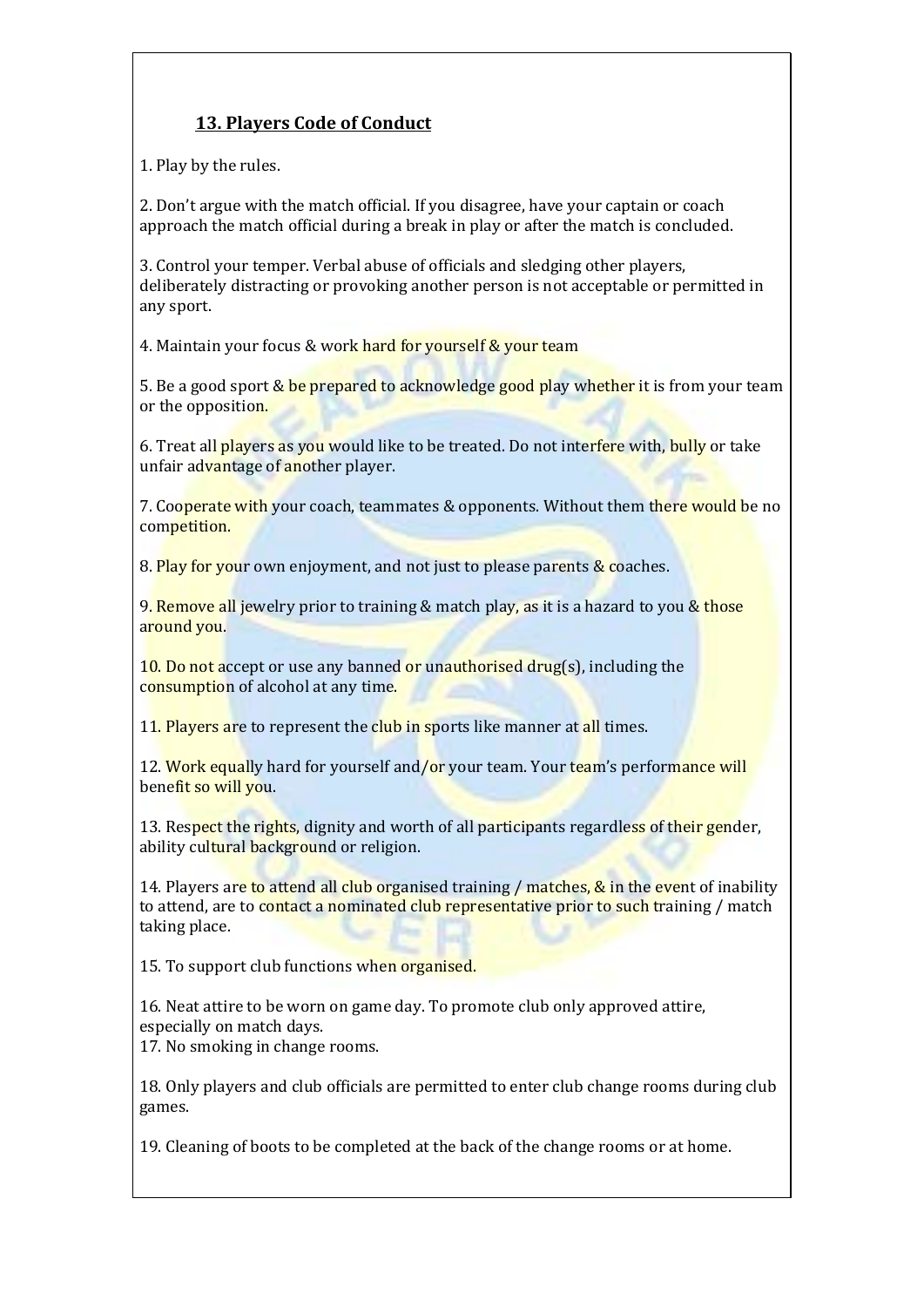# **13. Players Code of Conduct**

1. Play by the rules.

2. Don't argue with the match official. If you disagree, have your captain or coach approach the match official during a break in play or after the match is concluded.

3. Control your temper. Verbal abuse of officials and sledging other players, deliberately distracting or provoking another person is not acceptable or permitted in any sport.

4. Maintain your focus & work hard for yourself & your team

5. Be a good sport & be prepared to acknowledge good play whether it is from your team or the opposition.

6. Treat all players as you would like to be treated. Do not interfere with, bully or take unfair advantage of another player.

7. Cooperate with your coach, teammates & opponents. Without them there would be no competition.

8. Play for your own enjoyment, and not just to please parents & coaches.

9. Remove all jewelry prior to training & match play, as it is a hazard to you & those around you.

10. Do not accept or use any banned or unauthorised drug(s), including the consumption of alcohol at any time.

11. Players are to represent the club in sports like manner at all times.

12. Work equally hard for yourself and/or your team. Your team's performance will benefit so will you.

13. Respect the rights, dignity and worth of all participants regardless of their gender, ability cultural background or religion.

14. Players are to attend all club organised training / matches, & in the event of inability to attend, are to contact a nominated club representative prior to such training / match taking place.

15. To support club functions when organised.

16. Neat attire to be worn on game day. To promote club only approved attire, especially on match days. 17. No smoking in change rooms.

18. Only players and club officials are permitted to enter club change rooms during club games.

19. Cleaning of boots to be completed at the back of the change rooms or at home.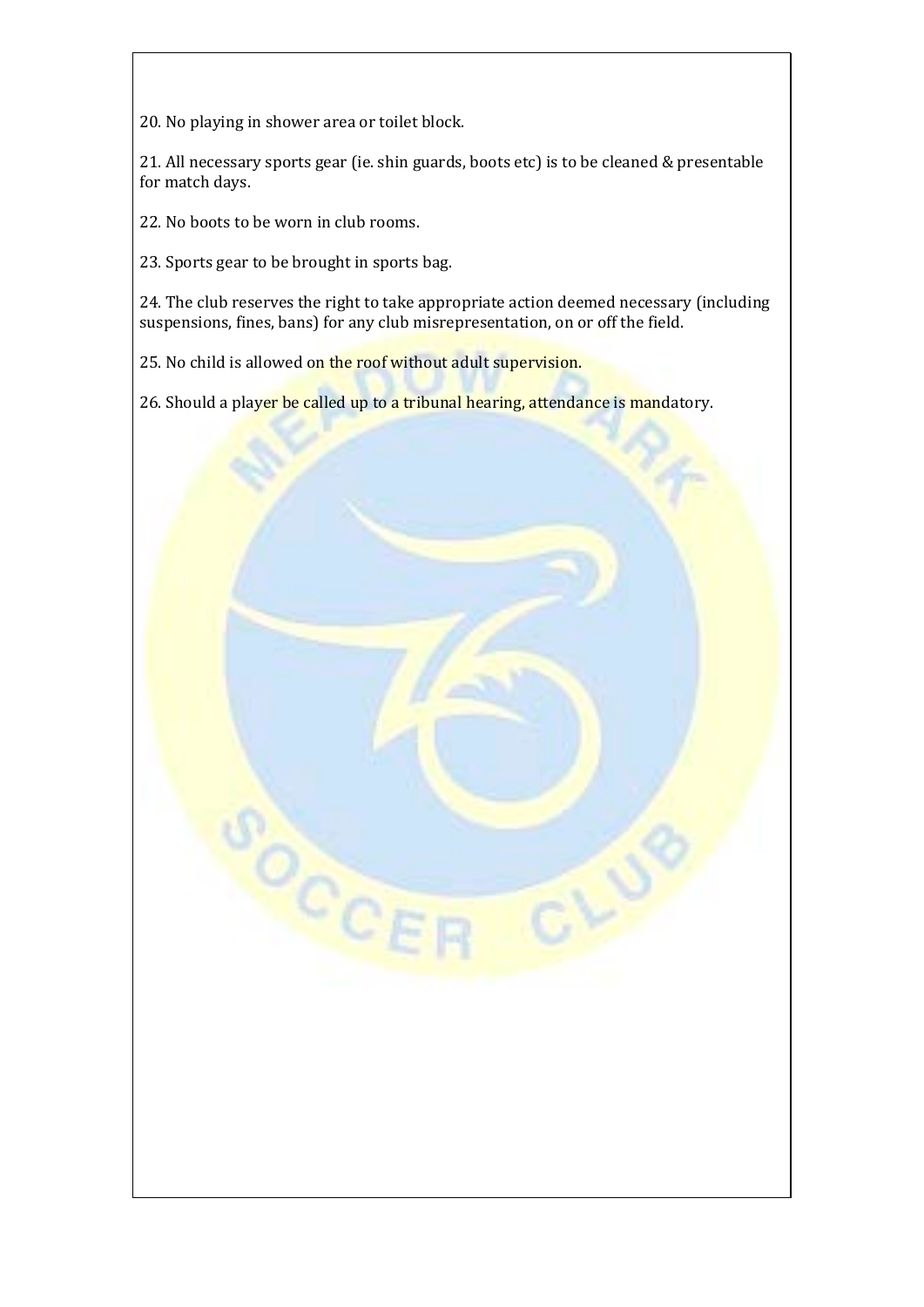20. No playing in shower area or toilet block.

21. All necessary sports gear (ie. shin guards, boots etc) is to be cleaned & presentable for match days.

22. No boots to be worn in club rooms.

23. Sports gear to be brought in sports bag.

24. The club reserves the right to take appropriate action deemed necessary (including suspensions, fines, bans) for any club misrepresentation, on or off the field.

25. No child is allowed on the roof without adult supervision.

OCCE

26. Should a player be called up to a tribunal hearing, attendance is mandatory.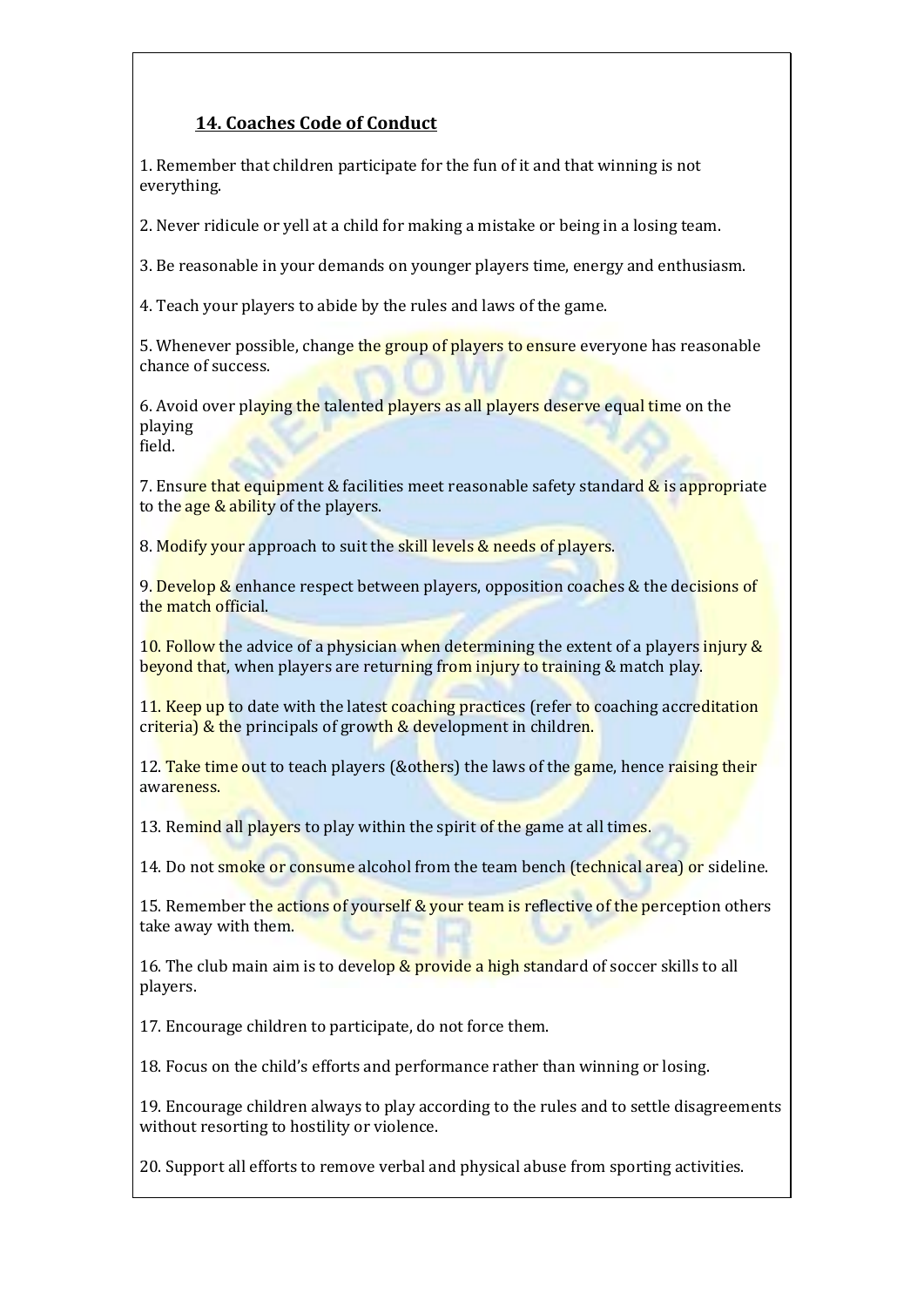# **14. Coaches Code of Conduct**

1. Remember that children participate for the fun of it and that winning is not everything.

2. Never ridicule or yell at a child for making a mistake or being in a losing team.

3. Be reasonable in your demands on younger players time, energy and enthusiasm.

4. Teach your players to abide by the rules and laws of the game.

5. Whenever possible, change the group of players to ensure everyone has reasonable chance of success.

6. Avoid over playing the talented players as all players deserve equal time on the playing field.

7. Ensure that equipment & facilities meet reasonable safety standard & is appropriate to the age & ability of the players.

8. Modify your approach to suit the skill levels & needs of players.

9. Develop & enhance respect between players, opposition coaches  $&$  the decisions of the match official.

10. Follow the advice of a physician when determining the extent of a players injury  $\&$ beyond that, when players are returning from injury to training & match play.

11. Keep up to date with the latest coaching practices (refer to coaching accreditation criteria) & the principals of growth & development in children.

12. Take time out to teach players (&others) the laws of the game, hence raising their awareness.

13. Remind all players to play within the spirit of the game at all times.

14. Do not smoke or consume alcohol from the team bench (technical area) or sideline.

15. Remember the actions of yourself & your team is reflective of the perception others take away with them.

16. The club main aim is to develop & provide a high standard of soccer skills to all players.

17. Encourage children to participate, do not force them.

18. Focus on the child's efforts and performance rather than winning or losing.

19. Encourage children always to play according to the rules and to settle disagreements without resorting to hostility or violence.

20. Support all efforts to remove verbal and physical abuse from sporting activities.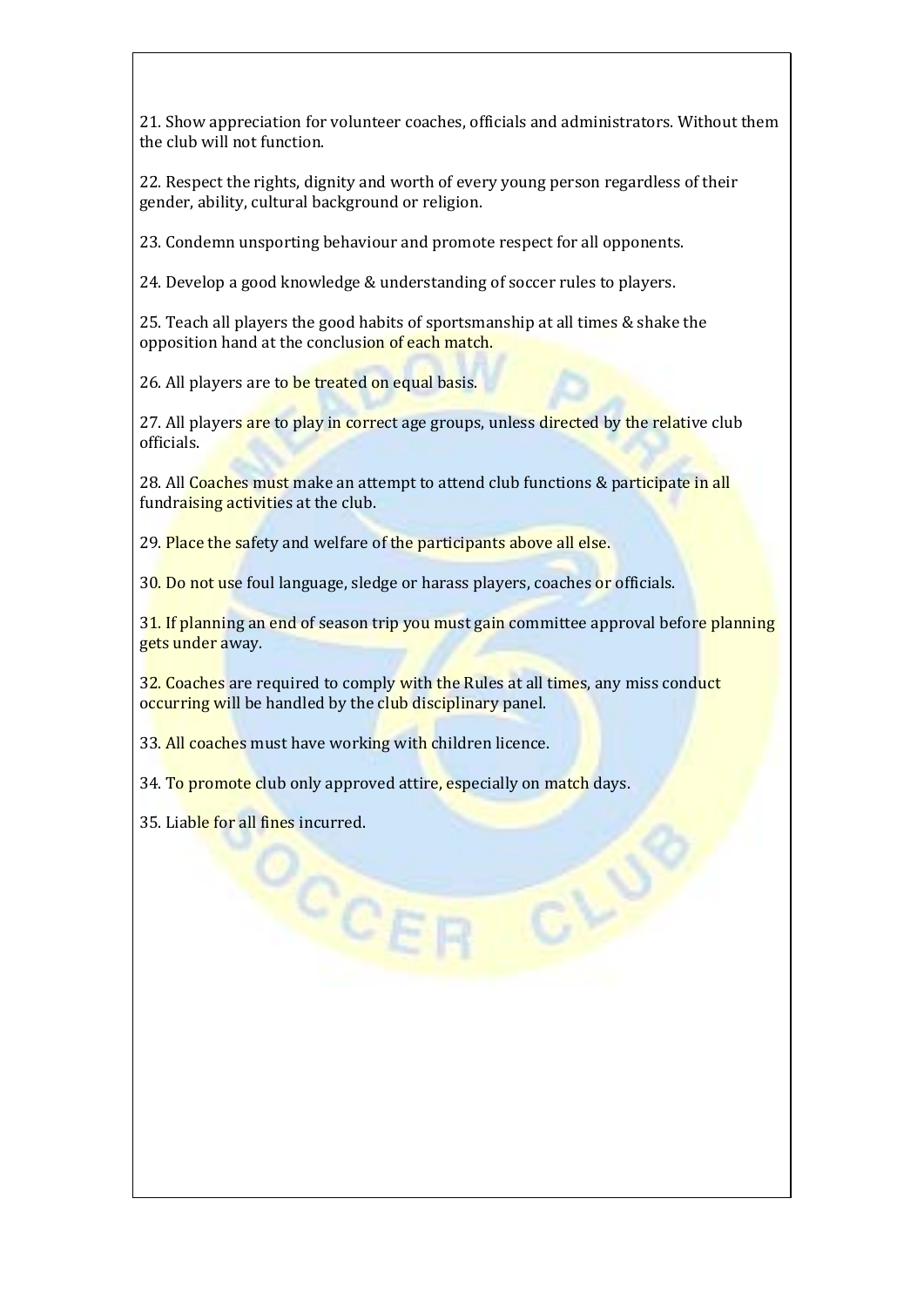21. Show appreciation for volunteer coaches, officials and administrators. Without them the club will not function.

22. Respect the rights, dignity and worth of every young person regardless of their gender, ability, cultural background or religion.

23. Condemn unsporting behaviour and promote respect for all opponents.

24. Develop a good knowledge & understanding of soccer rules to players.

25. Teach all players the good habits of sportsmanship at all times & shake the opposition hand at the conclusion of each match.

26. All players are to be treated on equal basis.

27. All players are to play in correct age groups, unless directed by the relative club officials.

28. All Coaches must make an attempt to attend club functions & participate in all fundraising activities at the club.

29. Place the safety and welfare of the participants above all else.

30. Do not use foul language, sledge or harass players, coaches or officials.

31. If planning an end of season trip you must gain committee approval before planning gets under away.

32. Coaches are required to comply with the Rules at all times, any miss conduct occurring will be handled by the club disciplinary panel.

33. All coaches must have working with children licence.

CCE

34. To promote club only approved attire, especially on match days.

35. Liable for all fines incurred.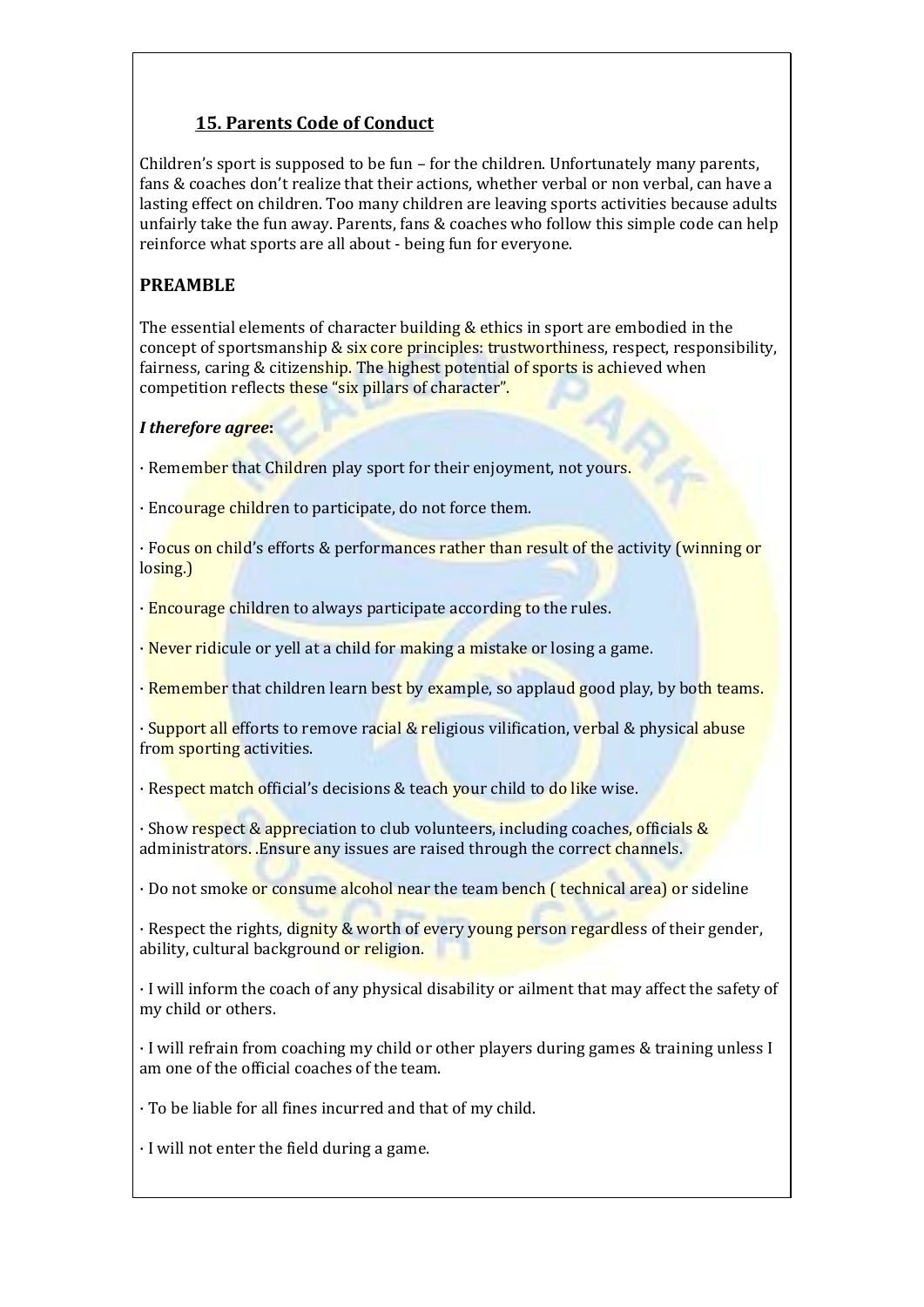# **15. Parents Code of Conduct**

Children's sport is supposed to be fun – for the children. Unfortunately many parents, fans & coaches don't realize that their actions, whether verbal or non verbal, can have a lasting effect on children. Too many children are leaving sports activities because adults unfairly take the fun away. Parents, fans & coaches who follow this simple code can help reinforce what sports are all about - being fun for everyone.

# **PREAMBLE**

The essential elements of character building & ethics in sport are embodied in the concept of sportsmanship & six core principles: trustworthiness, respect, responsibility, fairness, caring & citizenship. The highest potential of sports is achieved when competition reflects these "six pillars of character".

## *I therefore agree***:**

· Remember that Children play sport for their enjoyment, not yours.

· Encourage children to participate, do not force them.

· Focus on child's efforts & performances rather than result of the activity (winning or losing.)

· Encourage children to always participate according to the rules.

 $\cdot$  Never ridicule or yell at a child for making a mistake or losing a game.

· Remember that children learn best by example, so applaud good play, by both teams.

· Support all efforts to remove racial & religious vilification, verbal & physical abuse from sporting activities.

· Respect match official's decisions & teach your child to do like wise.

· Show respect & appreciation to club volunteers, including coaches, officials & administrators. Ensure any issues are raised through the correct channels.

· Do not smoke or consume alcohol near the team bench ( technical area) or sideline

· Respect the rights, dignity & worth of every young person regardless of their gender, ability, cultural background or religion.

· I will inform the coach of any physical disability or ailment that may affect the safety of my child or others.

· I will refrain from coaching my child or other players during games & training unless I am one of the official coaches of the team.

· To be liable for all fines incurred and that of my child.

· I will not enter the field during a game.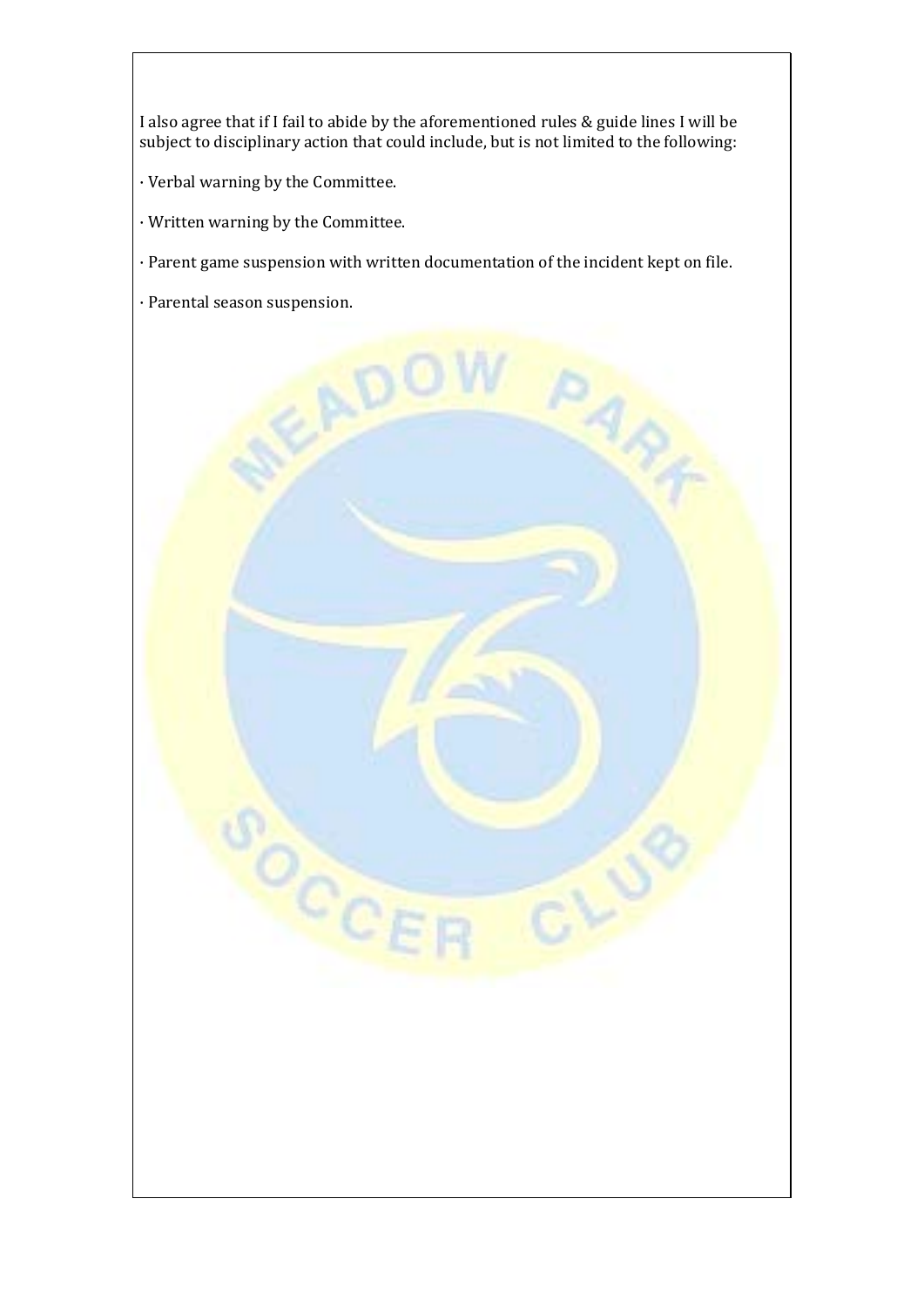I also agree that if I fail to abide by the aforementioned rules & guide lines I will be subject to disciplinary action that could include, but is not limited to the following:

- · Verbal warning by the Committee.
- · Written warning by the Committee.

 $\circ_{c_{C}}$ 

- · Parent game suspension with written documentation of the incident kept on file.
- · Parental season suspension.